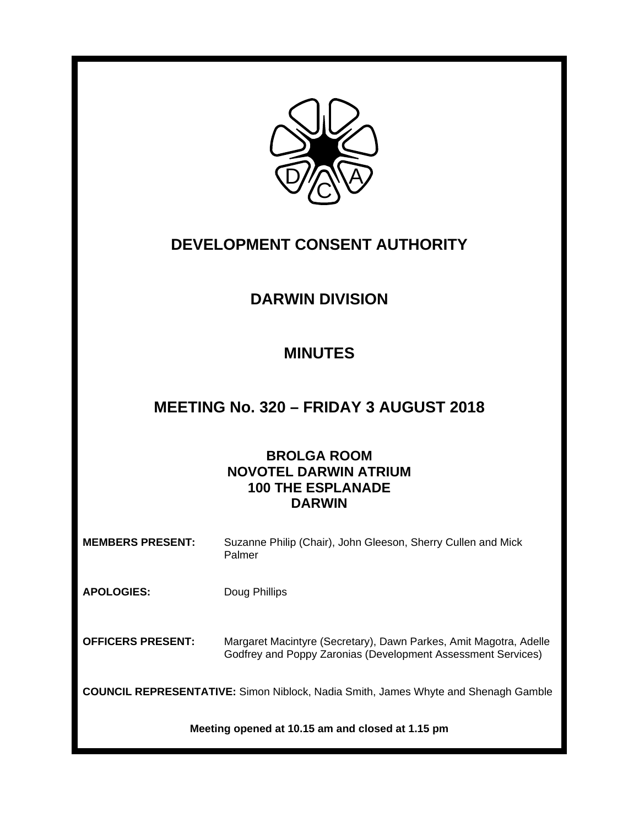

# **DEVELOPMENT CONSENT AUTHORITY**

# **DARWIN DIVISION**

## **MINUTES**

## **MEETING No. 320 – FRIDAY 3 AUGUST 2018**

## **BROLGA ROOM NOVOTEL DARWIN ATRIUM 100 THE ESPLANADE DARWIN**

| <b>MEMBERS PRESENT:</b> | Suzanne Philip (Chair), John Gleeson, Sherry Cullen and Mick |  |
|-------------------------|--------------------------------------------------------------|--|
|                         | Palmer                                                       |  |

**APOLOGIES:** Doug Phillips

**OFFICERS PRESENT:** Margaret Macintyre (Secretary), Dawn Parkes, Amit Magotra, Adelle Godfrey and Poppy Zaronias (Development Assessment Services)

**COUNCIL REPRESENTATIVE:** Simon Niblock, Nadia Smith, James Whyte and Shenagh Gamble

**Meeting opened at 10.15 am and closed at 1.15 pm**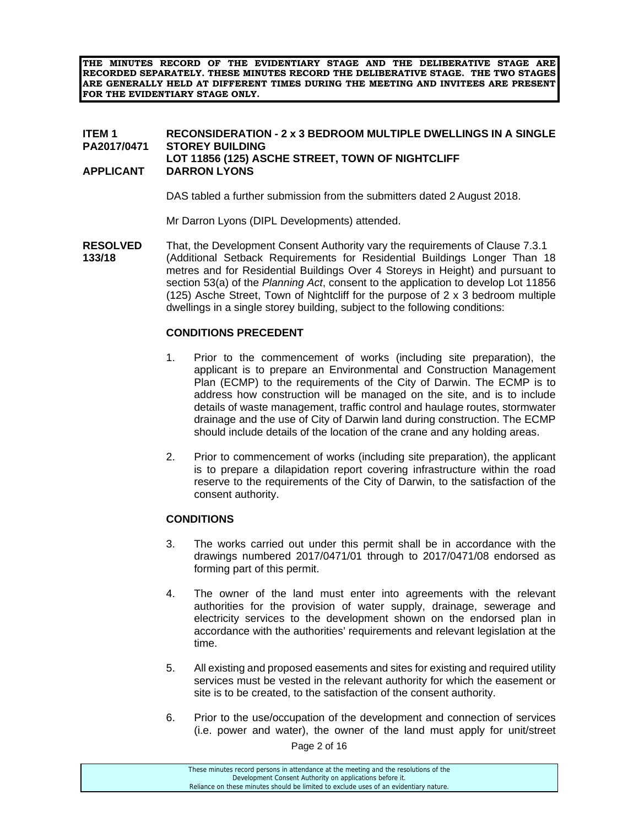**THE MINUTES RECORD OF THE EVIDENTIARY STAGE AND THE DELIBERATIVE STAGE ARE RECORDED SEPARATELY. THESE MINUTES RECORD THE DELIBERATIVE STAGE. THE TWO STAGES ARE GENERALLY HELD AT DIFFERENT TIMES DURING THE MEETING AND INVITEES ARE PRESENT FOR THE EVIDENTIARY STAGE ONLY.** 

#### **ITEM 1 RECONSIDERATION - 2 x 3 BEDROOM MULTIPLE DWELLINGS IN A SINGLE PA2017/0471 STOREY BUILDING LOT 11856 (125) ASCHE STREET, TOWN OF NIGHTCLIFF APPLICANT DARRON LYONS**

DAS tabled a further submission from the submitters dated 2 August 2018.

Mr Darron Lyons (DIPL Developments) attended.

**RESOLVED** That, the Development Consent Authority vary the requirements of Clause 7.3.1<br>**133/18** (Additional Setback Requirements for Residential Buildings Longer Than 1 **133/18** (Additional Setback Requirements for Residential Buildings Longer Than 18 metres and for Residential Buildings Over 4 Storeys in Height) and pursuant to section 53(a) of the *Planning Act*, consent to the application to develop Lot 11856 (125) Asche Street, Town of Nightcliff for the purpose of 2 x 3 bedroom multiple dwellings in a single storey building, subject to the following conditions:

### **CONDITIONS PRECEDENT**

- 1. Prior to the commencement of works (including site preparation), the applicant is to prepare an Environmental and Construction Management Plan (ECMP) to the requirements of the City of Darwin. The ECMP is to address how construction will be managed on the site, and is to include details of waste management, traffic control and haulage routes, stormwater drainage and the use of City of Darwin land during construction. The ECMP should include details of the location of the crane and any holding areas.
- 2. Prior to commencement of works (including site preparation), the applicant is to prepare a dilapidation report covering infrastructure within the road reserve to the requirements of the City of Darwin, to the satisfaction of the consent authority.

#### **CONDITIONS**

- 3. The works carried out under this permit shall be in accordance with the drawings numbered 2017/0471/01 through to 2017/0471/08 endorsed as forming part of this permit.
- 4. The owner of the land must enter into agreements with the relevant authorities for the provision of water supply, drainage, sewerage and electricity services to the development shown on the endorsed plan in accordance with the authorities' requirements and relevant legislation at the time.
- 5. All existing and proposed easements and sites for existing and required utility services must be vested in the relevant authority for which the easement or site is to be created, to the satisfaction of the consent authority.
- 6. Prior to the use/occupation of the development and connection of services (i.e. power and water), the owner of the land must apply for unit/street

Page 2 of 16

| These minutes record persons in attendance at the meeting and the resolutions of the  |  |
|---------------------------------------------------------------------------------------|--|
| Development Consent Authority on applications before it.                              |  |
| Reliance on these minutes should be limited to exclude uses of an evidentiary nature. |  |
|                                                                                       |  |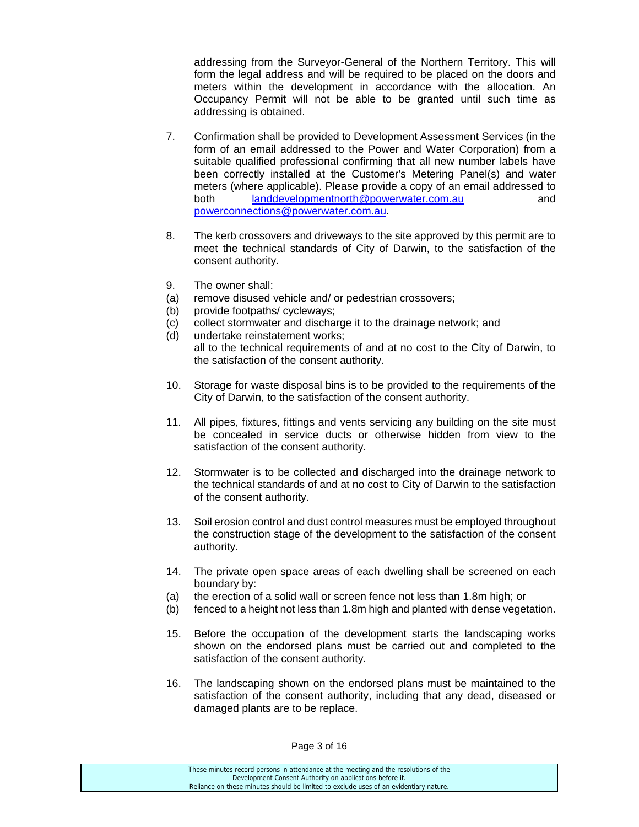addressing from the Surveyor-General of the Northern Territory. This will form the legal address and will be required to be placed on the doors and meters within the development in accordance with the allocation. An Occupancy Permit will not be able to be granted until such time as addressing is obtained.

- 7. Confirmation shall be provided to Development Assessment Services (in the form of an email addressed to the Power and Water Corporation) from a suitable qualified professional confirming that all new number labels have been correctly installed at the Customer's Metering Panel(s) and water meters (where applicable). Please provide a copy of an email addressed to both landdevelopmentnorth@powerwater.com.au and powerconnections@powerwater.com.au.
- 8. The kerb crossovers and driveways to the site approved by this permit are to meet the technical standards of City of Darwin, to the satisfaction of the consent authority.
- 9. The owner shall:
- (a) remove disused vehicle and/ or pedestrian crossovers;
- (b) provide footpaths/ cycleways;
- (c) collect stormwater and discharge it to the drainage network; and
- (d) undertake reinstatement works; all to the technical requirements of and at no cost to the City of Darwin, to the satisfaction of the consent authority.
- 10. Storage for waste disposal bins is to be provided to the requirements of the City of Darwin, to the satisfaction of the consent authority.
- 11. All pipes, fixtures, fittings and vents servicing any building on the site must be concealed in service ducts or otherwise hidden from view to the satisfaction of the consent authority.
- 12. Stormwater is to be collected and discharged into the drainage network to the technical standards of and at no cost to City of Darwin to the satisfaction of the consent authority.
- 13. Soil erosion control and dust control measures must be employed throughout the construction stage of the development to the satisfaction of the consent authority.
- 14. The private open space areas of each dwelling shall be screened on each boundary by:
- (a) the erection of a solid wall or screen fence not less than 1.8m high; or
- (b) fenced to a height not less than 1.8m high and planted with dense vegetation.
- 15. Before the occupation of the development starts the landscaping works shown on the endorsed plans must be carried out and completed to the satisfaction of the consent authority.
- 16. The landscaping shown on the endorsed plans must be maintained to the satisfaction of the consent authority, including that any dead, diseased or damaged plants are to be replace.

| These minutes record persons in attendance at the meeting and the resolutions of the  |
|---------------------------------------------------------------------------------------|
| Development Consent Authority on applications before it.                              |
| Reliance on these minutes should be limited to exclude uses of an evidentiary nature. |
|                                                                                       |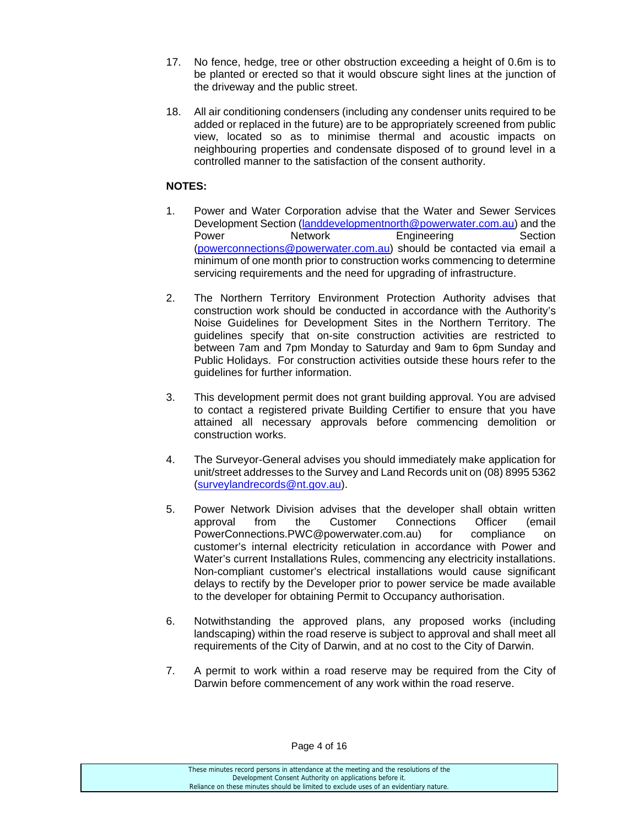- 17. No fence, hedge, tree or other obstruction exceeding a height of 0.6m is to be planted or erected so that it would obscure sight lines at the junction of the driveway and the public street.
- 18. All air conditioning condensers (including any condenser units required to be added or replaced in the future) are to be appropriately screened from public view, located so as to minimise thermal and acoustic impacts on neighbouring properties and condensate disposed of to ground level in a controlled manner to the satisfaction of the consent authority.

### **NOTES:**

- 1. Power and Water Corporation advise that the Water and Sewer Services Development Section (landdevelopmentnorth@powerwater.com.au) and the Power Network Engineering Section (powerconnections@powerwater.com.au) should be contacted via email a minimum of one month prior to construction works commencing to determine servicing requirements and the need for upgrading of infrastructure.
- 2. The Northern Territory Environment Protection Authority advises that construction work should be conducted in accordance with the Authority's Noise Guidelines for Development Sites in the Northern Territory. The guidelines specify that on-site construction activities are restricted to between 7am and 7pm Monday to Saturday and 9am to 6pm Sunday and Public Holidays. For construction activities outside these hours refer to the guidelines for further information.
- 3. This development permit does not grant building approval. You are advised to contact a registered private Building Certifier to ensure that you have attained all necessary approvals before commencing demolition or construction works.
- 4. The Surveyor-General advises you should immediately make application for unit/street addresses to the Survey and Land Records unit on (08) 8995 5362 (surveylandrecords@nt.gov.au).
- 5. Power Network Division advises that the developer shall obtain written approval from the Customer Connections Officer (email PowerConnections.PWC@powerwater.com.au) for compliance on customer's internal electricity reticulation in accordance with Power and Water's current Installations Rules, commencing any electricity installations. Non-compliant customer's electrical installations would cause significant delays to rectify by the Developer prior to power service be made available to the developer for obtaining Permit to Occupancy authorisation.
- 6. Notwithstanding the approved plans, any proposed works (including landscaping) within the road reserve is subject to approval and shall meet all requirements of the City of Darwin, and at no cost to the City of Darwin.
- 7. A permit to work within a road reserve may be required from the City of Darwin before commencement of any work within the road reserve.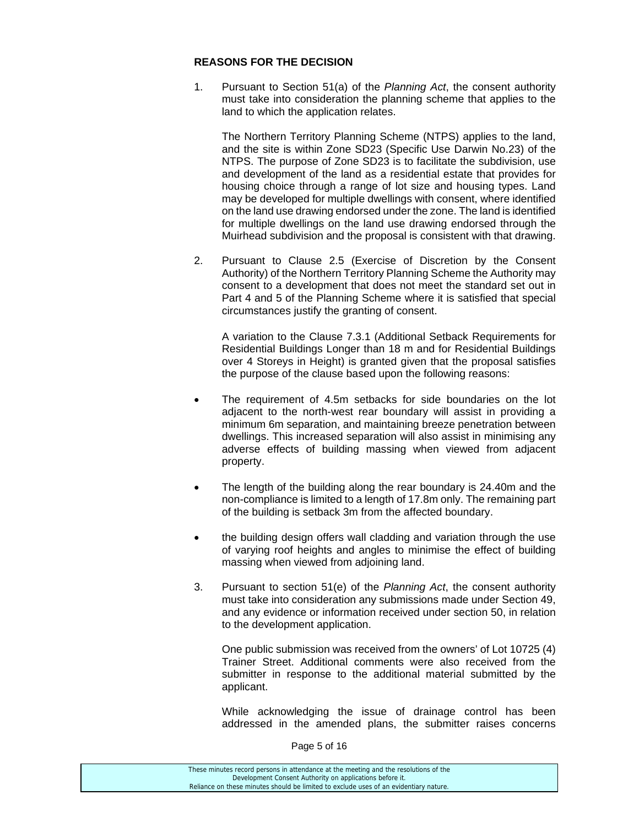#### **REASONS FOR THE DECISION**

1. Pursuant to Section 51(a) of the *Planning Act*, the consent authority must take into consideration the planning scheme that applies to the land to which the application relates.

The Northern Territory Planning Scheme (NTPS) applies to the land, and the site is within Zone SD23 (Specific Use Darwin No.23) of the NTPS. The purpose of Zone SD23 is to facilitate the subdivision, use and development of the land as a residential estate that provides for housing choice through a range of lot size and housing types. Land may be developed for multiple dwellings with consent, where identified on the land use drawing endorsed under the zone. The land is identified for multiple dwellings on the land use drawing endorsed through the Muirhead subdivision and the proposal is consistent with that drawing.

2. Pursuant to Clause 2.5 (Exercise of Discretion by the Consent Authority) of the Northern Territory Planning Scheme the Authority may consent to a development that does not meet the standard set out in Part 4 and 5 of the Planning Scheme where it is satisfied that special circumstances justify the granting of consent.

A variation to the Clause 7.3.1 (Additional Setback Requirements for Residential Buildings Longer than 18 m and for Residential Buildings over 4 Storeys in Height) is granted given that the proposal satisfies the purpose of the clause based upon the following reasons:

- The requirement of 4.5m setbacks for side boundaries on the lot adjacent to the north-west rear boundary will assist in providing a minimum 6m separation, and maintaining breeze penetration between dwellings. This increased separation will also assist in minimising any adverse effects of building massing when viewed from adjacent property.
- The length of the building along the rear boundary is 24.40m and the non-compliance is limited to a length of 17.8m only. The remaining part of the building is setback 3m from the affected boundary.
- the building design offers wall cladding and variation through the use of varying roof heights and angles to minimise the effect of building massing when viewed from adjoining land.
- 3. Pursuant to section 51(e) of the *Planning Act*, the consent authority must take into consideration any submissions made under Section 49, and any evidence or information received under section 50, in relation to the development application.

One public submission was received from the owners' of Lot 10725 (4) Trainer Street. Additional comments were also received from the submitter in response to the additional material submitted by the applicant.

While acknowledging the issue of drainage control has been addressed in the amended plans, the submitter raises concerns

Page 5 of 16

| These minutes record persons in attendance at the meeting and the resolutions of the  |  |
|---------------------------------------------------------------------------------------|--|
| Development Consent Authority on applications before it.                              |  |
| Reliance on these minutes should be limited to exclude uses of an evidentiary nature. |  |
|                                                                                       |  |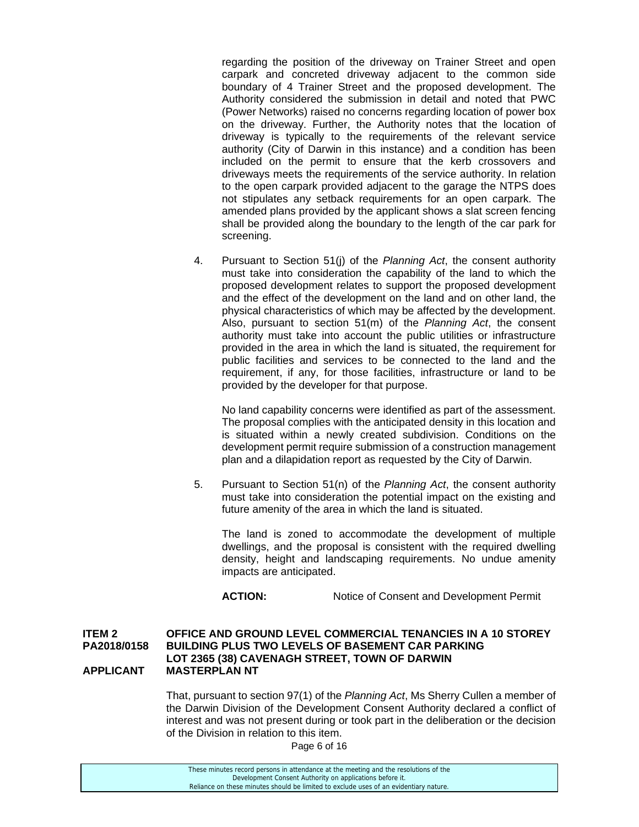regarding the position of the driveway on Trainer Street and open carpark and concreted driveway adjacent to the common side boundary of 4 Trainer Street and the proposed development. The Authority considered the submission in detail and noted that PWC (Power Networks) raised no concerns regarding location of power box on the driveway. Further, the Authority notes that the location of driveway is typically to the requirements of the relevant service authority (City of Darwin in this instance) and a condition has been included on the permit to ensure that the kerb crossovers and driveways meets the requirements of the service authority. In relation to the open carpark provided adjacent to the garage the NTPS does not stipulates any setback requirements for an open carpark. The amended plans provided by the applicant shows a slat screen fencing shall be provided along the boundary to the length of the car park for screening.

4. Pursuant to Section 51(j) of the *Planning Act*, the consent authority must take into consideration the capability of the land to which the proposed development relates to support the proposed development and the effect of the development on the land and on other land, the physical characteristics of which may be affected by the development. Also, pursuant to section 51(m) of the *Planning Act*, the consent authority must take into account the public utilities or infrastructure provided in the area in which the land is situated, the requirement for public facilities and services to be connected to the land and the requirement, if any, for those facilities, infrastructure or land to be provided by the developer for that purpose.

No land capability concerns were identified as part of the assessment. The proposal complies with the anticipated density in this location and is situated within a newly created subdivision. Conditions on the development permit require submission of a construction management plan and a dilapidation report as requested by the City of Darwin.

5. Pursuant to Section 51(n) of the *Planning Act*, the consent authority must take into consideration the potential impact on the existing and future amenity of the area in which the land is situated.

The land is zoned to accommodate the development of multiple dwellings, and the proposal is consistent with the required dwelling density, height and landscaping requirements. No undue amenity impacts are anticipated.

ACTION: Notice of Consent and Development Permit

#### **ITEM 2 OFFICE AND GROUND LEVEL COMMERCIAL TENANCIES IN A 10 STOREY PA2018/0158 BUILDING PLUS TWO LEVELS OF BASEMENT CAR PARKING LOT 2365 (38) CAVENAGH STREET, TOWN OF DARWIN APPLICANT MASTERPLAN NT**

 That, pursuant to section 97(1) of the *Planning Act*, Ms Sherry Cullen a member of the Darwin Division of the Development Consent Authority declared a conflict of interest and was not present during or took part in the deliberation or the decision of the Division in relation to this item.

Page 6 of 16

| These minutes record persons in attendance at the meeting and the resolutions of the  |
|---------------------------------------------------------------------------------------|
| Development Consent Authority on applications before it.                              |
| Reliance on these minutes should be limited to exclude uses of an evidentiary nature. |
|                                                                                       |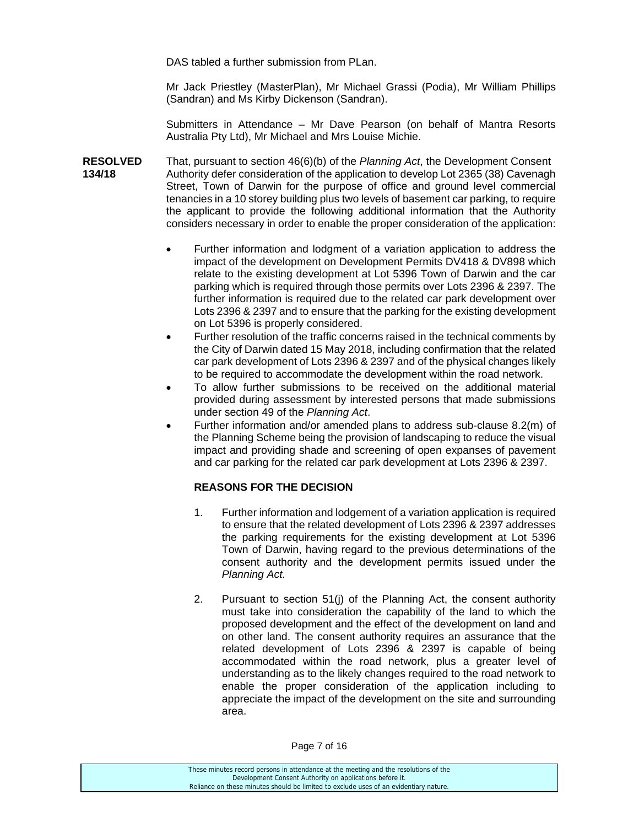DAS tabled a further submission from PLan.

 Mr Jack Priestley (MasterPlan), Mr Michael Grassi (Podia), Mr William Phillips (Sandran) and Ms Kirby Dickenson (Sandran).

 Submitters in Attendance – Mr Dave Pearson (on behalf of Mantra Resorts Australia Pty Ltd), Mr Michael and Mrs Louise Michie.

**RESOLVED** That, pursuant to section 46(6)(b) of the *Planning Act*, the Development Consent **134/18** Authority defer consideration of the application to develop Lot 2365 (38) Cavenagh Street, Town of Darwin for the purpose of office and ground level commercial tenancies in a 10 storey building plus two levels of basement car parking, to require the applicant to provide the following additional information that the Authority considers necessary in order to enable the proper consideration of the application:

- Further information and lodgment of a variation application to address the impact of the development on Development Permits DV418 & DV898 which relate to the existing development at Lot 5396 Town of Darwin and the car parking which is required through those permits over Lots 2396 & 2397. The further information is required due to the related car park development over Lots 2396 & 2397 and to ensure that the parking for the existing development on Lot 5396 is properly considered.
- Further resolution of the traffic concerns raised in the technical comments by the City of Darwin dated 15 May 2018, including confirmation that the related car park development of Lots 2396 & 2397 and of the physical changes likely to be required to accommodate the development within the road network.
- To allow further submissions to be received on the additional material provided during assessment by interested persons that made submissions under section 49 of the *Planning Act*.
- Further information and/or amended plans to address sub-clause 8.2(m) of the Planning Scheme being the provision of landscaping to reduce the visual impact and providing shade and screening of open expanses of pavement and car parking for the related car park development at Lots 2396 & 2397.

#### **REASONS FOR THE DECISION**

- 1. Further information and lodgement of a variation application is required to ensure that the related development of Lots 2396 & 2397 addresses the parking requirements for the existing development at Lot 5396 Town of Darwin, having regard to the previous determinations of the consent authority and the development permits issued under the *Planning Act.*
- 2. Pursuant to section 51(j) of the Planning Act, the consent authority must take into consideration the capability of the land to which the proposed development and the effect of the development on land and on other land. The consent authority requires an assurance that the related development of Lots 2396 & 2397 is capable of being accommodated within the road network, plus a greater level of understanding as to the likely changes required to the road network to enable the proper consideration of the application including to appreciate the impact of the development on the site and surrounding area.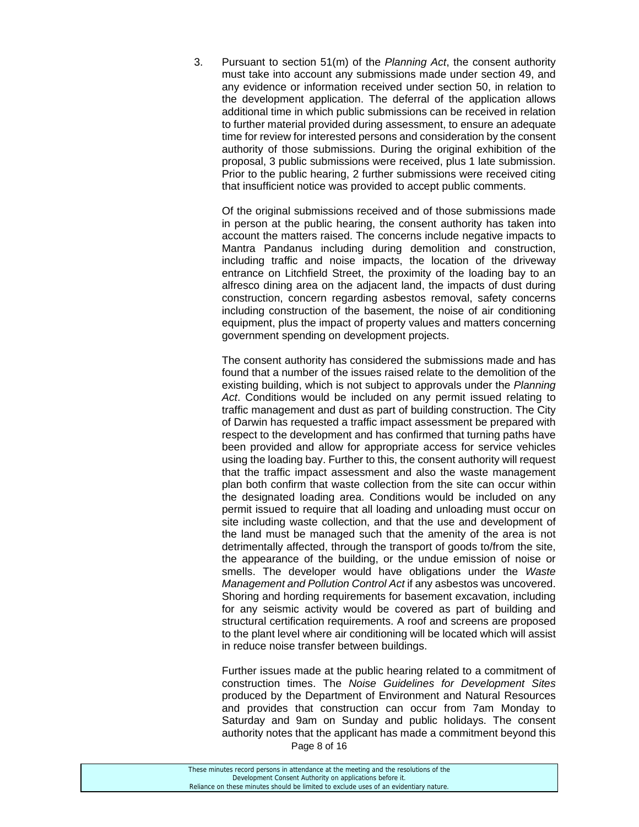3. Pursuant to section 51(m) of the *Planning Act*, the consent authority must take into account any submissions made under section 49, and any evidence or information received under section 50, in relation to the development application. The deferral of the application allows additional time in which public submissions can be received in relation to further material provided during assessment, to ensure an adequate time for review for interested persons and consideration by the consent authority of those submissions. During the original exhibition of the proposal, 3 public submissions were received, plus 1 late submission. Prior to the public hearing, 2 further submissions were received citing that insufficient notice was provided to accept public comments.

 Of the original submissions received and of those submissions made in person at the public hearing, the consent authority has taken into account the matters raised. The concerns include negative impacts to Mantra Pandanus including during demolition and construction, including traffic and noise impacts, the location of the driveway entrance on Litchfield Street, the proximity of the loading bay to an alfresco dining area on the adjacent land, the impacts of dust during construction, concern regarding asbestos removal, safety concerns including construction of the basement, the noise of air conditioning equipment, plus the impact of property values and matters concerning government spending on development projects.

 The consent authority has considered the submissions made and has found that a number of the issues raised relate to the demolition of the existing building, which is not subject to approvals under the *Planning Act*. Conditions would be included on any permit issued relating to traffic management and dust as part of building construction. The City of Darwin has requested a traffic impact assessment be prepared with respect to the development and has confirmed that turning paths have been provided and allow for appropriate access for service vehicles using the loading bay. Further to this, the consent authority will request that the traffic impact assessment and also the waste management plan both confirm that waste collection from the site can occur within the designated loading area. Conditions would be included on any permit issued to require that all loading and unloading must occur on site including waste collection, and that the use and development of the land must be managed such that the amenity of the area is not detrimentally affected, through the transport of goods to/from the site, the appearance of the building, or the undue emission of noise or smells. The developer would have obligations under the *Waste Management and Pollution Control Act* if any asbestos was uncovered. Shoring and hording requirements for basement excavation, including for any seismic activity would be covered as part of building and structural certification requirements. A roof and screens are proposed to the plant level where air conditioning will be located which will assist in reduce noise transfer between buildings.

 Further issues made at the public hearing related to a commitment of construction times. The *Noise Guidelines for Development Sites* produced by the Department of Environment and Natural Resources and provides that construction can occur from 7am Monday to Saturday and 9am on Sunday and public holidays. The consent authority notes that the applicant has made a commitment beyond this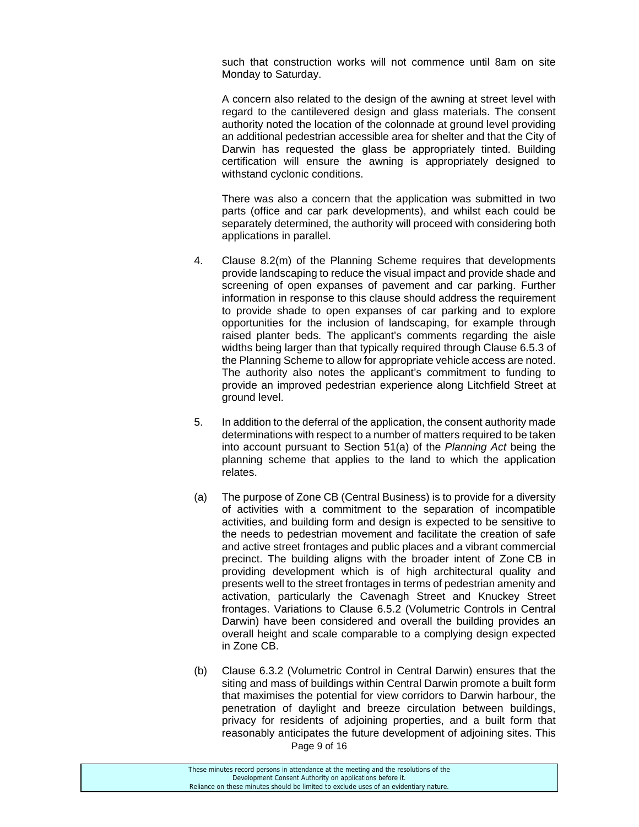such that construction works will not commence until 8am on site Monday to Saturday.

 A concern also related to the design of the awning at street level with regard to the cantilevered design and glass materials. The consent authority noted the location of the colonnade at ground level providing an additional pedestrian accessible area for shelter and that the City of Darwin has requested the glass be appropriately tinted. Building certification will ensure the awning is appropriately designed to withstand cyclonic conditions.

 There was also a concern that the application was submitted in two parts (office and car park developments), and whilst each could be separately determined, the authority will proceed with considering both applications in parallel.

- 4. Clause 8.2(m) of the Planning Scheme requires that developments provide landscaping to reduce the visual impact and provide shade and screening of open expanses of pavement and car parking. Further information in response to this clause should address the requirement to provide shade to open expanses of car parking and to explore opportunities for the inclusion of landscaping, for example through raised planter beds. The applicant's comments regarding the aisle widths being larger than that typically required through Clause 6.5.3 of the Planning Scheme to allow for appropriate vehicle access are noted. The authority also notes the applicant's commitment to funding to provide an improved pedestrian experience along Litchfield Street at ground level.
- 5. In addition to the deferral of the application, the consent authority made determinations with respect to a number of matters required to be taken into account pursuant to Section 51(a) of the *Planning Act* being the planning scheme that applies to the land to which the application relates.
- (a) The purpose of Zone CB (Central Business) is to provide for a diversity of activities with a commitment to the separation of incompatible activities, and building form and design is expected to be sensitive to the needs to pedestrian movement and facilitate the creation of safe and active street frontages and public places and a vibrant commercial precinct. The building aligns with the broader intent of Zone CB in providing development which is of high architectural quality and presents well to the street frontages in terms of pedestrian amenity and activation, particularly the Cavenagh Street and Knuckey Street frontages. Variations to Clause 6.5.2 (Volumetric Controls in Central Darwin) have been considered and overall the building provides an overall height and scale comparable to a complying design expected in Zone CB.
- Page 9 of 16 (b) Clause 6.3.2 (Volumetric Control in Central Darwin) ensures that the siting and mass of buildings within Central Darwin promote a built form that maximises the potential for view corridors to Darwin harbour, the penetration of daylight and breeze circulation between buildings, privacy for residents of adjoining properties, and a built form that reasonably anticipates the future development of adjoining sites. This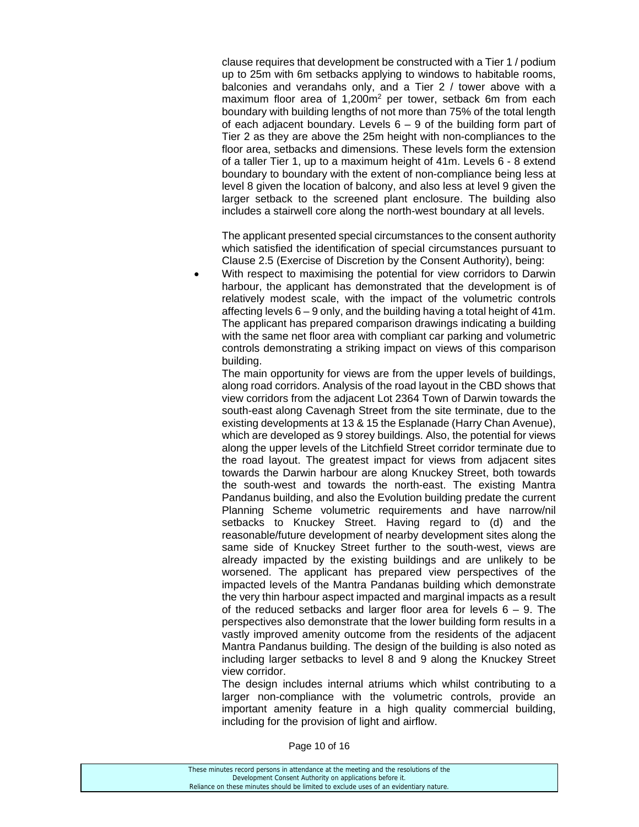clause requires that development be constructed with a Tier 1 / podium up to 25m with 6m setbacks applying to windows to habitable rooms, balconies and verandahs only, and a Tier 2 / tower above with a maximum floor area of 1,200m<sup>2</sup> per tower, setback 6m from each boundary with building lengths of not more than 75% of the total length of each adjacent boundary. Levels  $6 - 9$  of the building form part of Tier 2 as they are above the 25m height with non-compliances to the floor area, setbacks and dimensions. These levels form the extension of a taller Tier 1, up to a maximum height of 41m. Levels 6 - 8 extend boundary to boundary with the extent of non-compliance being less at level 8 given the location of balcony, and also less at level 9 given the larger setback to the screened plant enclosure. The building also includes a stairwell core along the north-west boundary at all levels.

 The applicant presented special circumstances to the consent authority which satisfied the identification of special circumstances pursuant to Clause 2.5 (Exercise of Discretion by the Consent Authority), being:

 With respect to maximising the potential for view corridors to Darwin harbour, the applicant has demonstrated that the development is of relatively modest scale, with the impact of the volumetric controls affecting levels 6 – 9 only, and the building having a total height of 41m. The applicant has prepared comparison drawings indicating a building with the same net floor area with compliant car parking and volumetric controls demonstrating a striking impact on views of this comparison building.

 The main opportunity for views are from the upper levels of buildings, along road corridors. Analysis of the road layout in the CBD shows that view corridors from the adjacent Lot 2364 Town of Darwin towards the south-east along Cavenagh Street from the site terminate, due to the existing developments at 13 & 15 the Esplanade (Harry Chan Avenue), which are developed as 9 storey buildings. Also, the potential for views along the upper levels of the Litchfield Street corridor terminate due to the road layout. The greatest impact for views from adjacent sites towards the Darwin harbour are along Knuckey Street, both towards the south-west and towards the north-east. The existing Mantra Pandanus building, and also the Evolution building predate the current Planning Scheme volumetric requirements and have narrow/nil setbacks to Knuckey Street. Having regard to (d) and the reasonable/future development of nearby development sites along the same side of Knuckey Street further to the south-west, views are already impacted by the existing buildings and are unlikely to be worsened. The applicant has prepared view perspectives of the impacted levels of the Mantra Pandanas building which demonstrate the very thin harbour aspect impacted and marginal impacts as a result of the reduced setbacks and larger floor area for levels  $6 - 9$ . The perspectives also demonstrate that the lower building form results in a vastly improved amenity outcome from the residents of the adjacent Mantra Pandanus building. The design of the building is also noted as including larger setbacks to level 8 and 9 along the Knuckey Street view corridor.

 The design includes internal atriums which whilst contributing to a larger non-compliance with the volumetric controls, provide an important amenity feature in a high quality commercial building, including for the provision of light and airflow.

Page 10 of 16

| These minutes record persons in attendance at the meeting and the resolutions of the  |  |
|---------------------------------------------------------------------------------------|--|
| Development Consent Authority on applications before it.                              |  |
| Reliance on these minutes should be limited to exclude uses of an evidentiary nature. |  |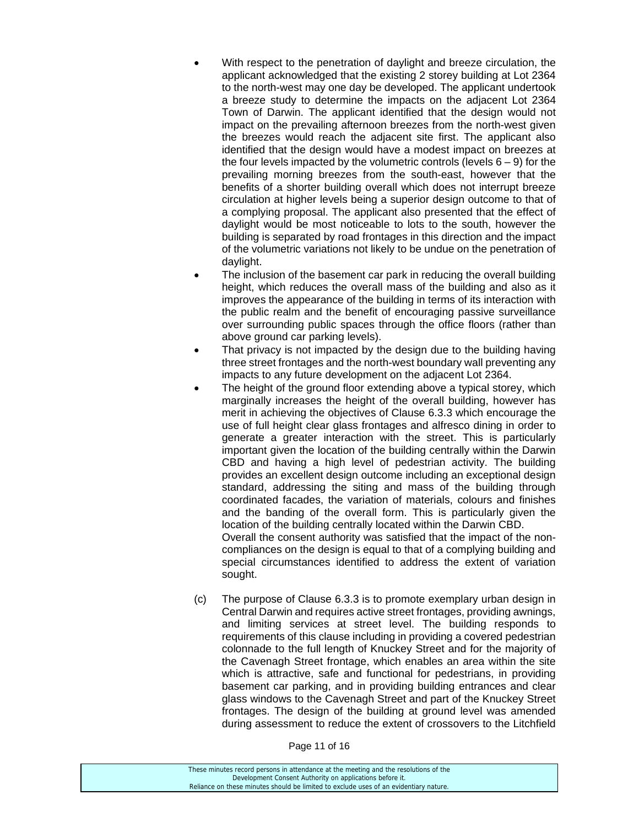- With respect to the penetration of daylight and breeze circulation, the applicant acknowledged that the existing 2 storey building at Lot 2364 to the north-west may one day be developed. The applicant undertook a breeze study to determine the impacts on the adjacent Lot 2364 Town of Darwin. The applicant identified that the design would not impact on the prevailing afternoon breezes from the north-west given the breezes would reach the adjacent site first. The applicant also identified that the design would have a modest impact on breezes at the four levels impacted by the volumetric controls (levels  $6 - 9$ ) for the prevailing morning breezes from the south-east, however that the benefits of a shorter building overall which does not interrupt breeze circulation at higher levels being a superior design outcome to that of a complying proposal. The applicant also presented that the effect of daylight would be most noticeable to lots to the south, however the building is separated by road frontages in this direction and the impact of the volumetric variations not likely to be undue on the penetration of daylight.
- The inclusion of the basement car park in reducing the overall building height, which reduces the overall mass of the building and also as it improves the appearance of the building in terms of its interaction with the public realm and the benefit of encouraging passive surveillance over surrounding public spaces through the office floors (rather than above ground car parking levels).
- That privacy is not impacted by the design due to the building having three street frontages and the north-west boundary wall preventing any impacts to any future development on the adjacent Lot 2364.
- The height of the ground floor extending above a typical storey, which marginally increases the height of the overall building, however has merit in achieving the objectives of Clause 6.3.3 which encourage the use of full height clear glass frontages and alfresco dining in order to generate a greater interaction with the street. This is particularly important given the location of the building centrally within the Darwin CBD and having a high level of pedestrian activity. The building provides an excellent design outcome including an exceptional design standard, addressing the siting and mass of the building through coordinated facades, the variation of materials, colours and finishes and the banding of the overall form. This is particularly given the location of the building centrally located within the Darwin CBD. Overall the consent authority was satisfied that the impact of the non-

compliances on the design is equal to that of a complying building and special circumstances identified to address the extent of variation sought.

(c) The purpose of Clause 6.3.3 is to promote exemplary urban design in Central Darwin and requires active street frontages, providing awnings, and limiting services at street level. The building responds to requirements of this clause including in providing a covered pedestrian colonnade to the full length of Knuckey Street and for the majority of the Cavenagh Street frontage, which enables an area within the site which is attractive, safe and functional for pedestrians, in providing basement car parking, and in providing building entrances and clear glass windows to the Cavenagh Street and part of the Knuckey Street frontages. The design of the building at ground level was amended during assessment to reduce the extent of crossovers to the Litchfield

Page 11 of 16

| These minutes record persons in attendance at the meeting and the resolutions of the  |
|---------------------------------------------------------------------------------------|
| Development Consent Authority on applications before it.                              |
| Reliance on these minutes should be limited to exclude uses of an evidentiary nature. |
|                                                                                       |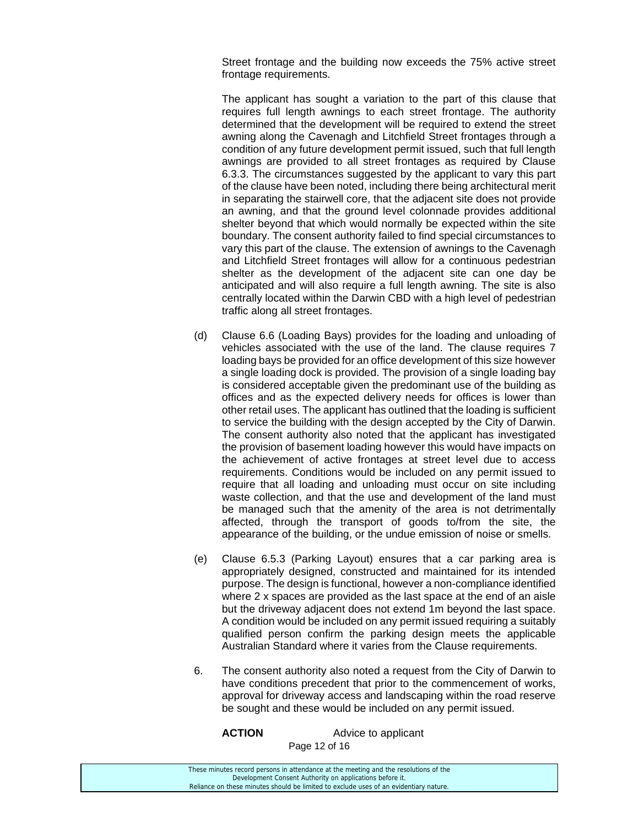Street frontage and the building now exceeds the 75% active street frontage requirements.

 The applicant has sought a variation to the part of this clause that requires full length awnings to each street frontage. The authority determined that the development will be required to extend the street awning along the Cavenagh and Litchfield Street frontages through a condition of any future development permit issued, such that full length awnings are provided to all street frontages as required by Clause 6.3.3. The circumstances suggested by the applicant to vary this part of the clause have been noted, including there being architectural merit in separating the stairwell core, that the adjacent site does not provide an awning, and that the ground level colonnade provides additional shelter beyond that which would normally be expected within the site boundary. The consent authority failed to find special circumstances to vary this part of the clause. The extension of awnings to the Cavenagh and Litchfield Street frontages will allow for a continuous pedestrian shelter as the development of the adjacent site can one day be anticipated and will also require a full length awning. The site is also centrally located within the Darwin CBD with a high level of pedestrian traffic along all street frontages.

- (d) Clause 6.6 (Loading Bays) provides for the loading and unloading of vehicles associated with the use of the land. The clause requires 7 loading bays be provided for an office development of this size however a single loading dock is provided. The provision of a single loading bay is considered acceptable given the predominant use of the building as offices and as the expected delivery needs for offices is lower than other retail uses. The applicant has outlined that the loading is sufficient to service the building with the design accepted by the City of Darwin. The consent authority also noted that the applicant has investigated the provision of basement loading however this would have impacts on the achievement of active frontages at street level due to access requirements. Conditions would be included on any permit issued to require that all loading and unloading must occur on site including waste collection, and that the use and development of the land must be managed such that the amenity of the area is not detrimentally affected, through the transport of goods to/from the site, the appearance of the building, or the undue emission of noise or smells.
- (e) Clause 6.5.3 (Parking Layout) ensures that a car parking area is appropriately designed, constructed and maintained for its intended purpose. The design is functional, however a non-compliance identified where 2 x spaces are provided as the last space at the end of an aisle but the driveway adjacent does not extend 1m beyond the last space. A condition would be included on any permit issued requiring a suitably qualified person confirm the parking design meets the applicable Australian Standard where it varies from the Clause requirements.
- 6. The consent authority also noted a request from the City of Darwin to have conditions precedent that prior to the commencement of works, approval for driveway access and landscaping within the road reserve be sought and these would be included on any permit issued.

Page 12 of 16 **ACTION** Advice to applicant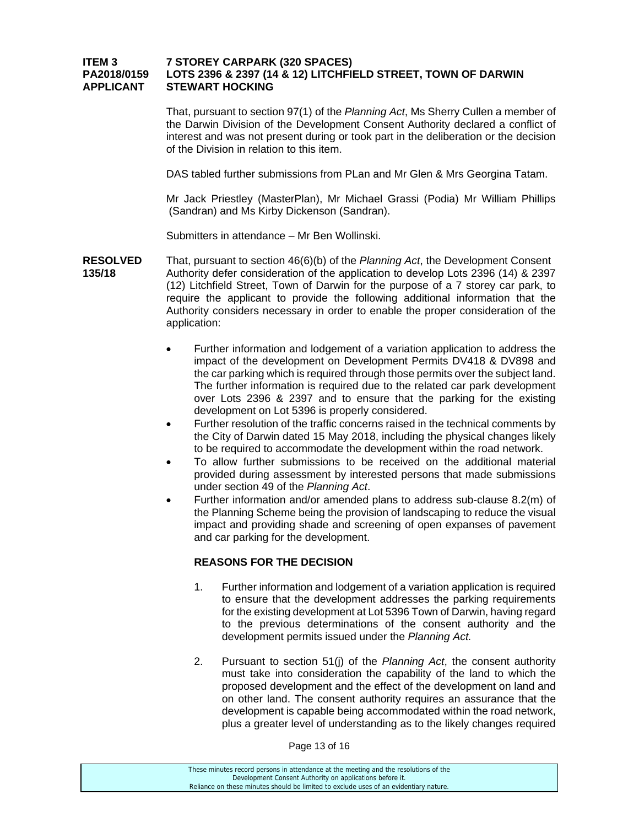#### **ITEM 3 7 STOREY CARPARK (320 SPACES) PA2018/0159 LOTS 2396 & 2397 (14 & 12) LITCHFIELD STREET, TOWN OF DARWIN APPLICANT STEWART HOCKING**

 That, pursuant to section 97(1) of the *Planning Act*, Ms Sherry Cullen a member of the Darwin Division of the Development Consent Authority declared a conflict of interest and was not present during or took part in the deliberation or the decision of the Division in relation to this item.

DAS tabled further submissions from PLan and Mr Glen & Mrs Georgina Tatam.

 Mr Jack Priestley (MasterPlan), Mr Michael Grassi (Podia) Mr William Phillips (Sandran) and Ms Kirby Dickenson (Sandran).

Submitters in attendance – Mr Ben Wollinski.

- **RESOLVED** That, pursuant to section 46(6)(b) of the *Planning Act*, the Development Consent **135/18** Authority defer consideration of the application to develop Lots 2396 (14) & 2397 (12) Litchfield Street, Town of Darwin for the purpose of a 7 storey car park, to require the applicant to provide the following additional information that the Authority considers necessary in order to enable the proper consideration of the application:
	- Further information and lodgement of a variation application to address the impact of the development on Development Permits DV418 & DV898 and the car parking which is required through those permits over the subject land. The further information is required due to the related car park development over Lots 2396 & 2397 and to ensure that the parking for the existing development on Lot 5396 is properly considered.
	- Further resolution of the traffic concerns raised in the technical comments by the City of Darwin dated 15 May 2018, including the physical changes likely to be required to accommodate the development within the road network.
	- To allow further submissions to be received on the additional material provided during assessment by interested persons that made submissions under section 49 of the *Planning Act*.
	- Further information and/or amended plans to address sub-clause 8.2(m) of the Planning Scheme being the provision of landscaping to reduce the visual impact and providing shade and screening of open expanses of pavement and car parking for the development.

#### **REASONS FOR THE DECISION**

- 1. Further information and lodgement of a variation application is required to ensure that the development addresses the parking requirements for the existing development at Lot 5396 Town of Darwin, having regard to the previous determinations of the consent authority and the development permits issued under the *Planning Act.*
- 2. Pursuant to section 51(j) of the *Planning Act*, the consent authority must take into consideration the capability of the land to which the proposed development and the effect of the development on land and on other land. The consent authority requires an assurance that the development is capable being accommodated within the road network, plus a greater level of understanding as to the likely changes required

Page 13 of 16

| These minutes record persons in attendance at the meeting and the resolutions of the  |  |
|---------------------------------------------------------------------------------------|--|
| Development Consent Authority on applications before it.                              |  |
| Reliance on these minutes should be limited to exclude uses of an evidentiary nature. |  |
|                                                                                       |  |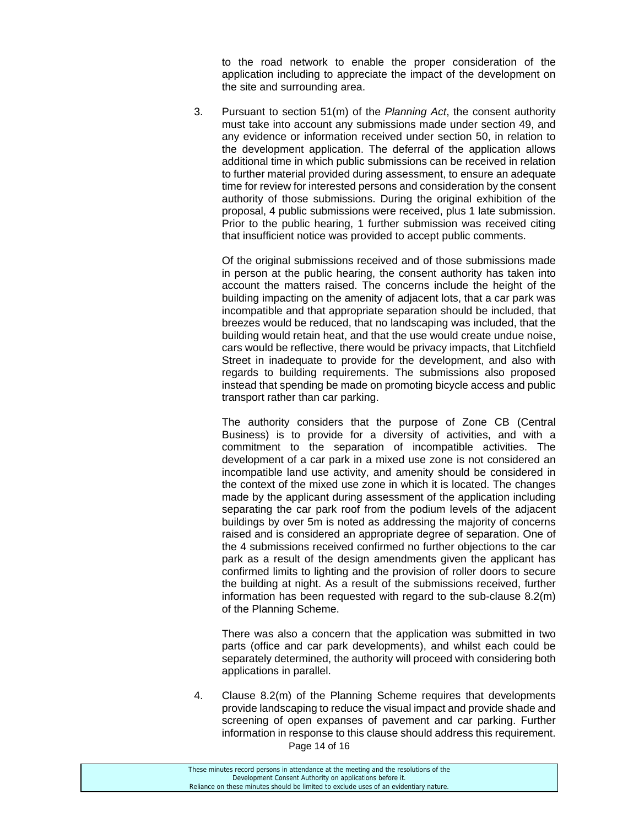to the road network to enable the proper consideration of the application including to appreciate the impact of the development on the site and surrounding area.

3. Pursuant to section 51(m) of the *Planning Act*, the consent authority must take into account any submissions made under section 49, and any evidence or information received under section 50, in relation to the development application. The deferral of the application allows additional time in which public submissions can be received in relation to further material provided during assessment, to ensure an adequate time for review for interested persons and consideration by the consent authority of those submissions. During the original exhibition of the proposal, 4 public submissions were received, plus 1 late submission. Prior to the public hearing, 1 further submission was received citing that insufficient notice was provided to accept public comments.

 Of the original submissions received and of those submissions made in person at the public hearing, the consent authority has taken into account the matters raised. The concerns include the height of the building impacting on the amenity of adjacent lots, that a car park was incompatible and that appropriate separation should be included, that breezes would be reduced, that no landscaping was included, that the building would retain heat, and that the use would create undue noise, cars would be reflective, there would be privacy impacts, that Litchfield Street in inadequate to provide for the development, and also with regards to building requirements. The submissions also proposed instead that spending be made on promoting bicycle access and public transport rather than car parking.

 The authority considers that the purpose of Zone CB (Central Business) is to provide for a diversity of activities, and with a commitment to the separation of incompatible activities. The development of a car park in a mixed use zone is not considered an incompatible land use activity, and amenity should be considered in the context of the mixed use zone in which it is located. The changes made by the applicant during assessment of the application including separating the car park roof from the podium levels of the adjacent buildings by over 5m is noted as addressing the majority of concerns raised and is considered an appropriate degree of separation. One of the 4 submissions received confirmed no further objections to the car park as a result of the design amendments given the applicant has confirmed limits to lighting and the provision of roller doors to secure the building at night. As a result of the submissions received, further information has been requested with regard to the sub-clause 8.2(m) of the Planning Scheme.

 There was also a concern that the application was submitted in two parts (office and car park developments), and whilst each could be separately determined, the authority will proceed with considering both applications in parallel.

Page 14 of 16 4. Clause 8.2(m) of the Planning Scheme requires that developments provide landscaping to reduce the visual impact and provide shade and screening of open expanses of pavement and car parking. Further information in response to this clause should address this requirement.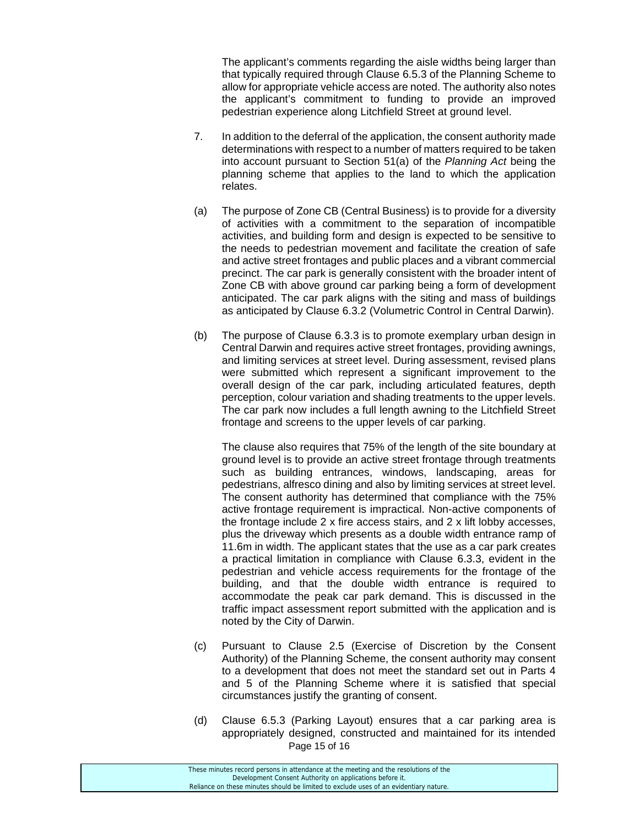The applicant's comments regarding the aisle widths being larger than that typically required through Clause 6.5.3 of the Planning Scheme to allow for appropriate vehicle access are noted. The authority also notes the applicant's commitment to funding to provide an improved pedestrian experience along Litchfield Street at ground level.

- 7. In addition to the deferral of the application, the consent authority made determinations with respect to a number of matters required to be taken into account pursuant to Section 51(a) of the *Planning Act* being the planning scheme that applies to the land to which the application relates.
- (a) The purpose of Zone CB (Central Business) is to provide for a diversity of activities with a commitment to the separation of incompatible activities, and building form and design is expected to be sensitive to the needs to pedestrian movement and facilitate the creation of safe and active street frontages and public places and a vibrant commercial precinct. The car park is generally consistent with the broader intent of Zone CB with above ground car parking being a form of development anticipated. The car park aligns with the siting and mass of buildings as anticipated by Clause 6.3.2 (Volumetric Control in Central Darwin).
- (b) The purpose of Clause 6.3.3 is to promote exemplary urban design in Central Darwin and requires active street frontages, providing awnings, and limiting services at street level. During assessment, revised plans were submitted which represent a significant improvement to the overall design of the car park, including articulated features, depth perception, colour variation and shading treatments to the upper levels. The car park now includes a full length awning to the Litchfield Street frontage and screens to the upper levels of car parking.

 The clause also requires that 75% of the length of the site boundary at ground level is to provide an active street frontage through treatments such as building entrances, windows, landscaping, areas for pedestrians, alfresco dining and also by limiting services at street level. The consent authority has determined that compliance with the 75% active frontage requirement is impractical. Non-active components of the frontage include 2 x fire access stairs, and 2 x lift lobby accesses, plus the driveway which presents as a double width entrance ramp of 11.6m in width. The applicant states that the use as a car park creates a practical limitation in compliance with Clause 6.3.3, evident in the pedestrian and vehicle access requirements for the frontage of the building, and that the double width entrance is required to accommodate the peak car park demand. This is discussed in the traffic impact assessment report submitted with the application and is noted by the City of Darwin.

- (c) Pursuant to Clause 2.5 (Exercise of Discretion by the Consent Authority) of the Planning Scheme, the consent authority may consent to a development that does not meet the standard set out in Parts 4 and 5 of the Planning Scheme where it is satisfied that special circumstances justify the granting of consent.
- Page 15 of 16 (d) Clause 6.5.3 (Parking Layout) ensures that a car parking area is appropriately designed, constructed and maintained for its intended